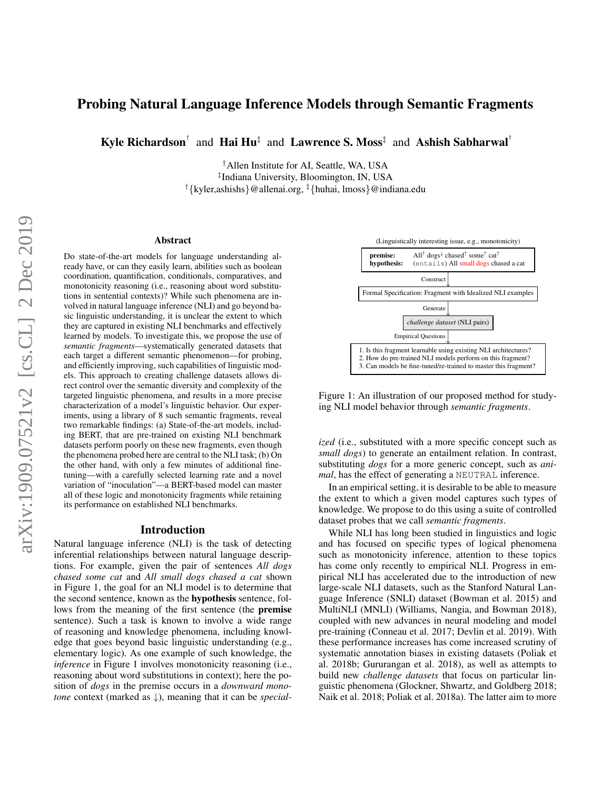# Probing Natural Language Inference Models through Semantic Fragments

Kyle Richardson<sup>†</sup> and Hai Hu<sup>‡</sup> and Lawrence S. Moss<sup>‡</sup> and Ashish Sabharwal<sup>†</sup>

†Allen Institute for AI, Seattle, WA, USA ‡ Indiana University, Bloomington, IN, USA †{kyler,ashishs}@allenai.org, ‡{huhai, lmoss}@indiana.edu

#### Abstract

Do state-of-the-art models for language understanding already have, or can they easily learn, abilities such as boolean coordination, quantification, conditionals, comparatives, and monotonicity reasoning (i.e., reasoning about word substitutions in sentential contexts)? While such phenomena are involved in natural language inference (NLI) and go beyond basic linguistic understanding, it is unclear the extent to which they are captured in existing NLI benchmarks and effectively learned by models. To investigate this, we propose the use of *semantic fragments*—systematically generated datasets that each target a different semantic phenomenon—for probing, and efficiently improving, such capabilities of linguistic models. This approach to creating challenge datasets allows direct control over the semantic diversity and complexity of the targeted linguistic phenomena, and results in a more precise characterization of a model's linguistic behavior. Our experiments, using a library of 8 such semantic fragments, reveal two remarkable findings: (a) State-of-the-art models, including BERT, that are pre-trained on existing NLI benchmark datasets perform poorly on these new fragments, even though the phenomena probed here are central to the NLI task; (b) On the other hand, with only a few minutes of additional finetuning—with a carefully selected learning rate and a novel variation of "inoculation"—a BERT-based model can master all of these logic and monotonicity fragments while retaining its performance on established NLI benchmarks.

#### Introduction

Natural language inference (NLI) is the task of detecting inferential relationships between natural language descriptions. For example, given the pair of sentences *All dogs chased some cat* and *All small dogs chased a cat* shown in Figure 1, the goal for an NLI model is to determine that the second sentence, known as the hypothesis sentence, follows from the meaning of the first sentence (the premise sentence). Such a task is known to involve a wide range of reasoning and knowledge phenomena, including knowledge that goes beyond basic linguistic understanding (e.g., elementary logic). As one example of such knowledge, the *inference* in Figure 1 involves monotonicity reasoning (i.e., reasoning about word substitutions in context); here the position of *dogs* in the premise occurs in a *downward monotone* context (marked as ↓), meaning that it can be *special-*



Figure 1: An illustration of our proposed method for studying NLI model behavior through *semantic fragments*.

*ized* (i.e., substituted with a more specific concept such as *small dogs*) to generate an entailment relation. In contrast, substituting *dogs* for a more generic concept, such as *animal*, has the effect of generating a NEUTRAL inference.

In an empirical setting, it is desirable to be able to measure the extent to which a given model captures such types of knowledge. We propose to do this using a suite of controlled dataset probes that we call *semantic fragments*.

While NLI has long been studied in linguistics and logic and has focused on specific types of logical phenomena such as monotonicity inference, attention to these topics has come only recently to empirical NLI. Progress in empirical NLI has accelerated due to the introduction of new large-scale NLI datasets, such as the Stanford Natural Language Inference (SNLI) dataset (Bowman et al. 2015) and MultiNLI (MNLI) (Williams, Nangia, and Bowman 2018), coupled with new advances in neural modeling and model pre-training (Conneau et al. 2017; Devlin et al. 2019). With these performance increases has come increased scrutiny of systematic annotation biases in existing datasets (Poliak et al. 2018b; Gururangan et al. 2018), as well as attempts to build new *challenge datasets* that focus on particular linguistic phenomena (Glockner, Shwartz, and Goldberg 2018; Naik et al. 2018; Poliak et al. 2018a). The latter aim to more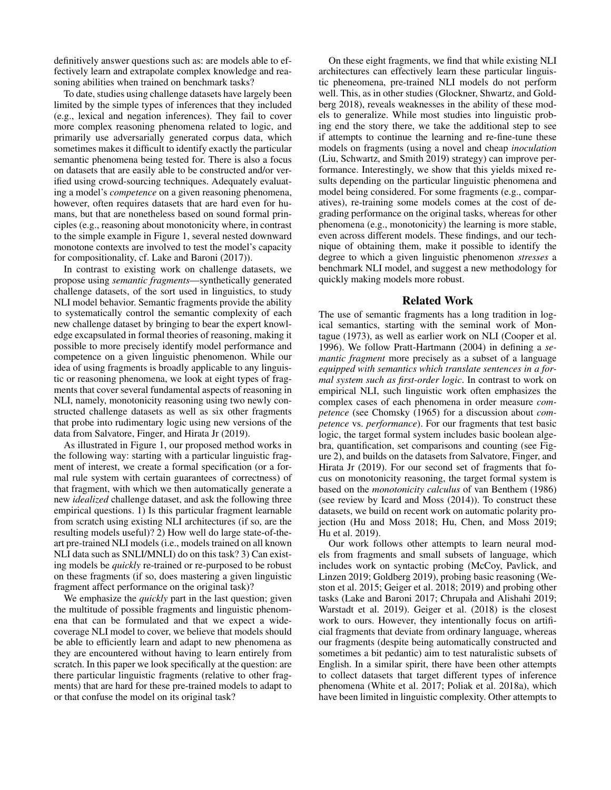definitively answer questions such as: are models able to effectively learn and extrapolate complex knowledge and reasoning abilities when trained on benchmark tasks?

To date, studies using challenge datasets have largely been limited by the simple types of inferences that they included (e.g., lexical and negation inferences). They fail to cover more complex reasoning phenomena related to logic, and primarily use adversarially generated corpus data, which sometimes makes it difficult to identify exactly the particular semantic phenomena being tested for. There is also a focus on datasets that are easily able to be constructed and/or verified using crowd-sourcing techniques. Adequately evaluating a model's *competence* on a given reasoning phenomena, however, often requires datasets that are hard even for humans, but that are nonetheless based on sound formal principles (e.g., reasoning about monotonicity where, in contrast to the simple example in Figure 1, several nested downward monotone contexts are involved to test the model's capacity for compositionality, cf. Lake and Baroni (2017)).

In contrast to existing work on challenge datasets, we propose using *semantic fragments*—synthetically generated challenge datasets, of the sort used in linguistics, to study NLI model behavior. Semantic fragments provide the ability to systematically control the semantic complexity of each new challenge dataset by bringing to bear the expert knowledge excapsulated in formal theories of reasoning, making it possible to more precisely identify model performance and competence on a given linguistic phenomenon. While our idea of using fragments is broadly applicable to any linguistic or reasoning phenomena, we look at eight types of fragments that cover several fundamental aspects of reasoning in NLI, namely, monotonicity reasoning using two newly constructed challenge datasets as well as six other fragments that probe into rudimentary logic using new versions of the data from Salvatore, Finger, and Hirata Jr (2019).

As illustrated in Figure 1, our proposed method works in the following way: starting with a particular linguistic fragment of interest, we create a formal specification (or a formal rule system with certain guarantees of correctness) of that fragment, with which we then automatically generate a new *idealized* challenge dataset, and ask the following three empirical questions. 1) Is this particular fragment learnable from scratch using existing NLI architectures (if so, are the resulting models useful)? 2) How well do large state-of-theart pre-trained NLI models (i.e., models trained on all known NLI data such as SNLI/MNLI) do on this task? 3) Can existing models be *quickly* re-trained or re-purposed to be robust on these fragments (if so, does mastering a given linguistic fragment affect performance on the original task)?

We emphasize the *quickly* part in the last question; given the multitude of possible fragments and linguistic phenomena that can be formulated and that we expect a widecoverage NLI model to cover, we believe that models should be able to efficiently learn and adapt to new phenomena as they are encountered without having to learn entirely from scratch. In this paper we look specifically at the question: are there particular linguistic fragments (relative to other fragments) that are hard for these pre-trained models to adapt to or that confuse the model on its original task?

On these eight fragments, we find that while existing NLI architectures can effectively learn these particular linguistic pheneomena, pre-trained NLI models do not perform well. This, as in other studies (Glockner, Shwartz, and Goldberg 2018), reveals weaknesses in the ability of these models to generalize. While most studies into linguistic probing end the story there, we take the additional step to see if attempts to continue the learning and re-fine-tune these models on fragments (using a novel and cheap *inoculation* (Liu, Schwartz, and Smith 2019) strategy) can improve performance. Interestingly, we show that this yields mixed results depending on the particular linguistic phenomena and model being considered. For some fragments (e.g., comparatives), re-training some models comes at the cost of degrading performance on the original tasks, whereas for other phenomena (e.g., monotonicity) the learning is more stable, even across different models. These findings, and our technique of obtaining them, make it possible to identify the degree to which a given linguistic phenomenon *stresses* a benchmark NLI model, and suggest a new methodology for quickly making models more robust.

### Related Work

The use of semantic fragments has a long tradition in logical semantics, starting with the seminal work of Montague (1973), as well as earlier work on NLI (Cooper et al. 1996). We follow Pratt-Hartmann (2004) in defining a *semantic fragment* more precisely as a subset of a language *equipped with semantics which translate sentences in a formal system such as first-order logic*. In contrast to work on empirical NLI, such linguistic work often emphasizes the complex cases of each phenomena in order measure *competence* (see Chomsky (1965) for a discussion about *competence* vs. *performance*). For our fragments that test basic logic, the target formal system includes basic boolean algebra, quantification, set comparisons and counting (see Figure 2), and builds on the datasets from Salvatore, Finger, and Hirata Jr (2019). For our second set of fragments that focus on monotonicity reasoning, the target formal system is based on the *monotonicity calculus* of van Benthem (1986) (see review by Icard and Moss (2014)). To construct these datasets, we build on recent work on automatic polarity projection (Hu and Moss 2018; Hu, Chen, and Moss 2019; Hu et al. 2019).

Our work follows other attempts to learn neural models from fragments and small subsets of language, which includes work on syntactic probing (McCoy, Pavlick, and Linzen 2019; Goldberg 2019), probing basic reasoning (Weston et al. 2015; Geiger et al. 2018; 2019) and probing other tasks (Lake and Baroni 2017; Chrupała and Alishahi 2019; Warstadt et al. 2019). Geiger et al. (2018) is the closest work to ours. However, they intentionally focus on artificial fragments that deviate from ordinary language, whereas our fragments (despite being automatically constructed and sometimes a bit pedantic) aim to test naturalistic subsets of English. In a similar spirit, there have been other attempts to collect datasets that target different types of inference phenomena (White et al. 2017; Poliak et al. 2018a), which have been limited in linguistic complexity. Other attempts to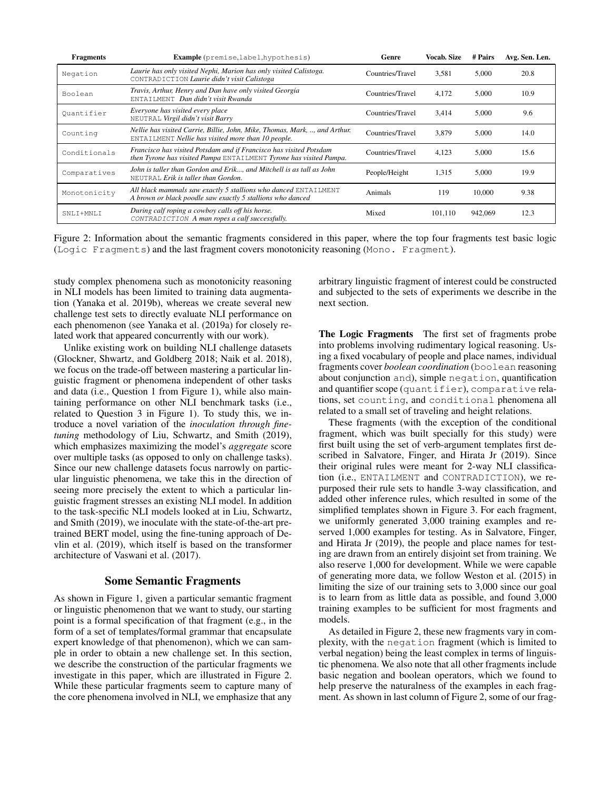| <b>Fragments</b> | <b>Example</b> (premise, label, hypothesis)                                                                                              | Genre            | <b>Vocab. Size</b> | # Pairs | Avg. Sen. Len. |
|------------------|------------------------------------------------------------------------------------------------------------------------------------------|------------------|--------------------|---------|----------------|
| Negation         | Laurie has only visited Nephi, Marion has only visited Calistoga.<br>CONTRADICTION Laurie didn't visit Calistoga                         | Countries/Travel | 3.581              | 5.000   | 20.8           |
| Boolean          | Travis, Arthur, Henry and Dan have only visited Georgia<br>ENTAILMENT Dan didn't visit Rwanda                                            | Countries/Travel | 4,172              | 5,000   | 10.9           |
| Ouantifier       | Everyone has visited every place<br>NEUTRAL Virgil didn't visit Barry                                                                    | Countries/Travel | 3.414              | 5.000   | 9.6            |
| Counting         | Nellie has visited Carrie, Billie, John, Mike, Thomas, Mark, , and Arthur.<br>ENTAILMENT Nellie has visited more than 10 people.         | Countries/Travel | 3.879              | 5.000   | 14.0           |
| Conditionals     | Francisco has visited Potsdam and if Francisco has visited Potsdam<br>then Tyrone has visited Pampa ENTAILMENT Tyrone has visited Pampa. | Countries/Travel | 4.123              | 5.000   | 15.6           |
| Comparatives     | John is taller than Gordon and Erik, and Mitchell is as tall as John<br>NEUTRAL Erik is taller than Gordon.                              | People/Height    | 1,315              | 5,000   | 19.9           |
| Monotonicity     | All black mammals saw exactly 5 stallions who danced ENTAILMENT<br>A brown or black poodle saw exactly 5 stallions who danced            | Animals          | 119                | 10.000  | 9.38           |
| SNLI+MNLI        | During calf roping a cowboy calls off his horse.<br>CONTRADICTION A man ropes a calf successfully.                                       | Mixed            | 101.110            | 942,069 | 12.3           |

Figure 2: Information about the semantic fragments considered in this paper, where the top four fragments test basic logic (Logic Fragments) and the last fragment covers monotonicity reasoning (Mono. Fragment).

study complex phenomena such as monotonicity reasoning in NLI models has been limited to training data augmentation (Yanaka et al. 2019b), whereas we create several new challenge test sets to directly evaluate NLI performance on each phenomenon (see Yanaka et al. (2019a) for closely related work that appeared concurrently with our work).

Unlike existing work on building NLI challenge datasets (Glockner, Shwartz, and Goldberg 2018; Naik et al. 2018), we focus on the trade-off between mastering a particular linguistic fragment or phenomena independent of other tasks and data (i.e., Question 1 from Figure 1), while also maintaining performance on other NLI benchmark tasks (i.e., related to Question 3 in Figure 1). To study this, we introduce a novel variation of the *inoculation through finetuning* methodology of Liu, Schwartz, and Smith (2019), which emphasizes maximizing the model's *aggregate* score over multiple tasks (as opposed to only on challenge tasks). Since our new challenge datasets focus narrowly on particular linguistic phenomena, we take this in the direction of seeing more precisely the extent to which a particular linguistic fragment stresses an existing NLI model. In addition to the task-specific NLI models looked at in Liu, Schwartz, and Smith (2019), we inoculate with the state-of-the-art pretrained BERT model, using the fine-tuning approach of Devlin et al. (2019), which itself is based on the transformer architecture of Vaswani et al. (2017).

# Some Semantic Fragments

As shown in Figure 1, given a particular semantic fragment or linguistic phenomenon that we want to study, our starting point is a formal specification of that fragment (e.g., in the form of a set of templates/formal grammar that encapsulate expert knowledge of that phenomenon), which we can sample in order to obtain a new challenge set. In this section, we describe the construction of the particular fragments we investigate in this paper, which are illustrated in Figure 2. While these particular fragments seem to capture many of the core phenomena involved in NLI, we emphasize that any

arbitrary linguistic fragment of interest could be constructed and subjected to the sets of experiments we describe in the next section.

The Logic Fragments The first set of fragments probe into problems involving rudimentary logical reasoning. Using a fixed vocabulary of people and place names, individual fragments cover *boolean coordination* (boolean reasoning about conjunction and), simple negation, quantification and quantifier scope (quantifier), comparative relations, set counting, and conditional phenomena all related to a small set of traveling and height relations.

These fragments (with the exception of the conditional fragment, which was built specially for this study) were first built using the set of verb-argument templates first described in Salvatore, Finger, and Hirata Jr (2019). Since their original rules were meant for 2-way NLI classification (i.e., ENTAILMENT and CONTRADICTION), we repurposed their rule sets to handle 3-way classification, and added other inference rules, which resulted in some of the simplified templates shown in Figure 3. For each fragment, we uniformly generated 3,000 training examples and reserved 1,000 examples for testing. As in Salvatore, Finger, and Hirata Jr (2019), the people and place names for testing are drawn from an entirely disjoint set from training. We also reserve 1,000 for development. While we were capable of generating more data, we follow Weston et al. (2015) in limiting the size of our training sets to 3,000 since our goal is to learn from as little data as possible, and found 3,000 training examples to be sufficient for most fragments and models.

As detailed in Figure 2, these new fragments vary in complexity, with the negation fragment (which is limited to verbal negation) being the least complex in terms of linguistic phenomena. We also note that all other fragments include basic negation and boolean operators, which we found to help preserve the naturalness of the examples in each fragment. As shown in last column of Figure 2, some of our frag-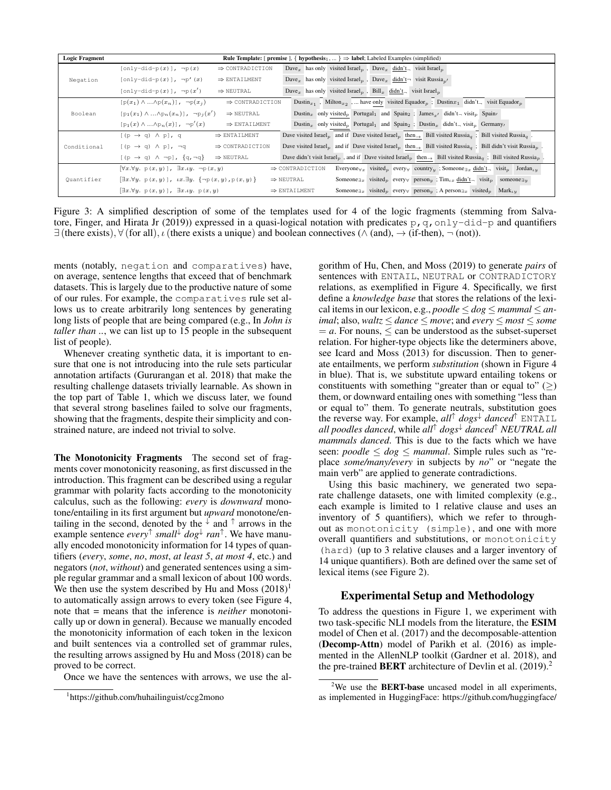| <b>Logic Fragment</b> | <b>Rule Template:</b> [ premise ], $\{$ hypothesis <sub>1</sub> , $\} \Rightarrow$ label; Labeled Examples (simplified)                                                                                                                                                                                  |
|-----------------------|----------------------------------------------------------------------------------------------------------------------------------------------------------------------------------------------------------------------------------------------------------------------------------------------------------|
| Negation              | Dave <sub>x</sub> has only visited Israel <sub>n</sub> , Dave <sub>x</sub> didn't <sub>n</sub> visit Israel <sub>n</sub><br>$[only-did-p(x)], \neg p(x)$<br>$\Rightarrow$ CONTRADICTION                                                                                                                  |
|                       | Dave <sub>x</sub> has only visited Israel <sub>p</sub> , Dave <sub>x</sub> didn't visit Russia <sub>n'</sub><br>$[only-did-p(x)], \neg p'(x)$<br>$\Rightarrow$ ENTAILMENT                                                                                                                                |
|                       | Dave <sub>x</sub> has only visited Israel <sub>p</sub> , Bill <sub>x</sub> didn't <sub>-</sub> visit Israel <sub>p</sub><br>$[only-did-p(x)], \neg p(x')$<br>$\Rightarrow$ NEUTRAL                                                                                                                       |
| Boolean               | Dustin <sub>x1</sub> , Milton <sub>x2</sub> ,  have only visited Equador <sub>p</sub> ; Dustinx <sub>1</sub> didn't <sub>n</sub> visit Equador <sub>p</sub><br>$[p(x_1) \wedge  \wedge p(x_n)]$ , $\neg p(x_i)$<br>$\Rightarrow$ CONTRADICTION                                                           |
|                       | Dustin <sub>x</sub> only visited <sub>p</sub> Portugal <sub>1</sub> and Spain <sub>2</sub> ; James <sub>n</sub> , didn't <sub>-</sub> visit <sub>p</sub> Spain,<br>$[p_1(x_1) \wedge  \wedge p_n(x_n)]$ , $\neg p_i(x')$<br>$\Rightarrow$ NEUTRAL                                                        |
|                       | $[p_1(x) \wedge  \wedge p_n(x)], \neg p'(x)$<br>Dustin <sub>x</sub> only visited <sub>p</sub> Portugal <sub>1</sub> and Spain <sub>2</sub> ; Dustin <sub>x</sub> didn't <sub>-visit<sub>p</sub> Germany</sub><br>$\Rightarrow$ ENTAILMENT                                                                |
| Conditional           | Dave visited Israel <sub>n</sub> and if Dave visited Israel <sub>n</sub> then $\rightarrow$ Bill visited Russia <sub>a</sub> ; Bill visited Russia <sub>a</sub> .<br>$[(p \rightarrow q) \land p]$ , q<br>$\Rightarrow$ ENTAILMENT                                                                       |
|                       | Dave visited Israel <sub>n</sub> and if Dave visited Israel <sub>n</sub> then $\rightarrow$ Bill visited Russia <sub>n</sub> ; Bill didn't visit Russia <sub>n</sub> .<br>$[(p \rightarrow q) \land p]$ , $\neg q$<br>$\Rightarrow$ CONTRADICTION                                                        |
|                       | Dave didn't visit Israel <sub>p</sub> , and if Dave visited Israel <sub>p</sub> then $\rightarrow$ Bill visited Russia <sub>g</sub> ; Bill visited Russia <sub>p</sub> .<br>$[(p \rightarrow q) \land \neg p]$ , $\{q, \neg q\}$<br>$\Rightarrow$ NEUTRAL                                                |
| Quantifier            | Everyone $\forall x$ visited every country ; Someone $\exists x$ didn't visit bordan<br>$[\forall x.\forall y. p(x,y) ], \exists x. \iota y. \neg p(x,y)$<br>$\Rightarrow$ CONTRADICTION                                                                                                                 |
|                       | $\left[\exists x.\forall y. p(x,y)\right], \, \mu x.\exists y. \left\{\neg p(x,y), p(x,y)\right\}$<br>Someone $\exists x$ visited <sub>p</sub> every person <sub>u</sub> ; $\text{Tim}_{Lx}$ didn't, visit <sub>p</sub> someone $\exists y$<br>$\Rightarrow$ NEUTRAL                                     |
|                       | Someone <sub><math>\exists x</math></sub> visited <sub>p</sub> every <sub><math>\forall</math></sub> person <sub>u</sub> ; A person <sub><math>\exists x</math></sub> visited <sub>p</sub> Mark <sub>ty</sub><br>$[\exists x.\forall y. p(x,y)], \exists x. \iota y. p(x,y)$<br>$\Rightarrow$ ENTAILMENT |

Figure 3: A simplified description of some of the templates used for 4 of the logic fragments (stemming from Salvatore, Finger, and Hirata Jr (2019)) expressed in a quasi-logical notation with predicates  $p$ , q, only-did-p and quantifiers  $\exists$  (there exists),  $\forall$  (for all),  $\iota$  (there exists a unique) and boolean connectives ( $\land$  (and),  $\rightarrow$  (if-then),  $\neg$  (not)).

ments (notably, negation and comparatives) have, on average, sentence lengths that exceed that of benchmark datasets. This is largely due to the productive nature of some of our rules. For example, the comparatives rule set allows us to create arbitrarily long sentences by generating long lists of people that are being compared (e.g., In *John is taller than* ..., we can list up to 15 people in the subsequent list of people).

Whenever creating synthetic data, it is important to ensure that one is not introducing into the rule sets particular annotation artifacts (Gururangan et al. 2018) that make the resulting challenge datasets trivially learnable. As shown in the top part of Table 1, which we discuss later, we found that several strong baselines failed to solve our fragments, showing that the fragments, despite their simplicity and constrained nature, are indeed not trivial to solve.

The Monotonicity Fragments The second set of fragments cover monotonicity reasoning, as first discussed in the introduction. This fragment can be described using a regular grammar with polarity facts according to the monotonicity calculus, such as the following: *every* is *downward* monotone/entailing in its first argument but *upward* monotone/entailing in the second, denoted by the  $\sqrt{ }$  and  $\uparrow$  arrows in the example sentence *every*<sup>↑</sup> *small*<sup>↓</sup> *dog*<sup>↓</sup> *ran*<sup>↑</sup> . We have manually encoded monotonicity information for 14 types of quantifiers (*every*, *some*, *no*, *most*, *at least 5*, *at most 4*, etc.) and negators (*not*, *without*) and generated sentences using a simple regular grammar and a small lexicon of about 100 words. We then use the system described by Hu and Moss  $(2018)^1$ to automatically assign arrows to every token (see Figure 4, note that = means that the inference is *neither* monotonically up or down in general). Because we manually encoded the monotonicity information of each token in the lexicon and built sentences via a controlled set of grammar rules, the resulting arrows assigned by Hu and Moss (2018) can be proved to be correct.

Once we have the sentences with arrows, we use the al-

gorithm of Hu, Chen, and Moss (2019) to generate *pairs* of sentences with ENTAIL, NEUTRAL or CONTRADICTORY relations, as exemplified in Figure 4. Specifically, we first define a *knowledge base* that stores the relations of the lexical items in our lexicon, e.g.,  $poodle \leq dog \leq mammal \leq an$ *imal*; also, *waltz*  $\leq$  *dance*  $\leq$  *move*; and *every*  $\leq$  *most*  $\leq$  *some*  $= a$ . For nouns,  $\le$  can be understood as the subset-superset relation. For higher-type objects like the determiners above, see Icard and Moss (2013) for discussion. Then to generate entailments, we perform *substitution* (shown in Figure 4 in blue). That is, we substitute upward entailing tokens or constituents with something "greater than or equal to"  $(\ge)$ them, or downward entailing ones with something "less than or equal to" them. To generate neutrals, substitution goes the reverse way. For example, *all*<sup>↑</sup> *dogs*<sup>↓</sup> *danced*<sup>↑</sup> ENTAIL *all poodles danced*, while *all*<sup>↑</sup> *dogs*<sup>↓</sup> *danced*<sup>↑</sup> *NEUTRAL all mammals danced*. This is due to the facts which we have seen: *poodle*  $\leq$  *dog*  $\leq$  *mammal*. Simple rules such as "replace *some/many/every* in subjects by *no*" or "negate the main verb" are applied to generate contradictions.

Using this basic machinery, we generated two separate challenge datasets, one with limited complexity (e.g., each example is limited to 1 relative clause and uses an inventory of 5 quantifiers), which we refer to throughout as monotonicity (simple), and one with more overall quantifiers and substitutions, or monotonicity (hard) (up to 3 relative clauses and a larger inventory of 14 unique quantifiers). Both are defined over the same set of lexical items (see Figure 2).

### Experimental Setup and Methodology

To address the questions in Figure 1, we experiment with two task-specific NLI models from the literature, the ESIM model of Chen et al. (2017) and the decomposable-attention (Decomp-Attn) model of Parikh et al. (2016) as implemented in the AllenNLP toolkit (Gardner et al. 2018), and the pre-trained **BERT** architecture of Devlin et al.  $(2019)^2$ .

<sup>1</sup> https://github.com/huhailinguist/ccg2mono

<sup>&</sup>lt;sup>2</sup>We use the **BERT-base** uncased model in all experiments, as implemented in HuggingFace: https://github.com/huggingface/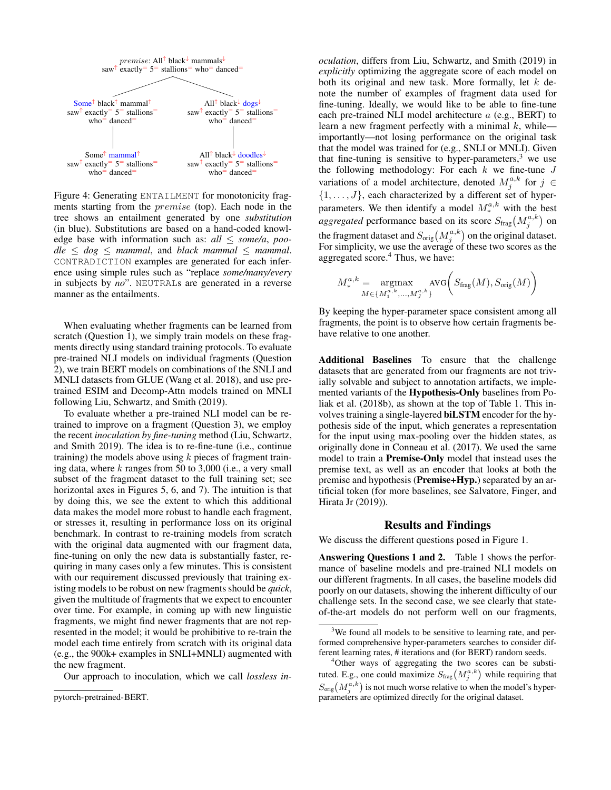

Figure 4: Generating ENTAILMENT for monotonicity fragments starting from the premise (top). Each node in the tree shows an entailment generated by one *substitution* (in blue). Substitutions are based on a hand-coded knowledge base with information such as: *all* ≤ *some/a*, *poo* $dle \leq dog \leq mammal$ , and *black mammal*  $\leq mammal$ . CONTRADICTION examples are generated for each inference using simple rules such as "replace *some/many/every* in subjects by *no*". NEUTRALs are generated in a reverse manner as the entailments.

When evaluating whether fragments can be learned from scratch (Question 1), we simply train models on these fragments directly using standard training protocols. To evaluate pre-trained NLI models on individual fragments (Question 2), we train BERT models on combinations of the SNLI and MNLI datasets from GLUE (Wang et al. 2018), and use pretrained ESIM and Decomp-Attn models trained on MNLI following Liu, Schwartz, and Smith (2019).

To evaluate whether a pre-trained NLI model can be retrained to improve on a fragment (Question 3), we employ the recent *inoculation by fine-tuning* method (Liu, Schwartz, and Smith 2019). The idea is to re-fine-tune (i.e., continue training) the models above using  $k$  pieces of fragment training data, where  $k$  ranges from 50 to 3,000 (i.e., a very small subset of the fragment dataset to the full training set; see horizontal axes in Figures 5, 6, and 7). The intuition is that by doing this, we see the extent to which this additional data makes the model more robust to handle each fragment, or stresses it, resulting in performance loss on its original benchmark. In contrast to re-training models from scratch with the original data augmented with our fragment data, fine-tuning on only the new data is substantially faster, requiring in many cases only a few minutes. This is consistent with our requirement discussed previously that training existing models to be robust on new fragments should be *quick*, given the multitude of fragments that we expect to encounter over time. For example, in coming up with new linguistic fragments, we might find newer fragments that are not represented in the model; it would be prohibitive to re-train the model each time entirely from scratch with its original data (e.g., the 900k+ examples in SNLI+MNLI) augmented with the new fragment.

Our approach to inoculation, which we call *lossless in-*

*oculation*, differs from Liu, Schwartz, and Smith (2019) in *explicitly* optimizing the aggregate score of each model on both its original and new task. More formally, let  $k$  denote the number of examples of fragment data used for fine-tuning. Ideally, we would like to be able to fine-tune each pre-trained NLI model architecture a (e.g., BERT) to learn a new fragment perfectly with a minimal  $k$ , while importantly—not losing performance on the original task that the model was trained for (e.g., SNLI or MNLI). Given that fine-tuning is sensitive to hyper-parameters, $3$  we use the following methodology: For each  $k$  we fine-tune  $J$ variations of a model architecture, denoted  $M_j^{a,k}$  for  $j \in$  $\{1, \ldots, J\}$ , each characterized by a different set of hyperparameters. We then identify a model  $M_*^{a,k}$  with the best *aggregated* performance based on its score  $S_{\text{frag}}(M_j^{a,k})$  on the fragment dataset and  $S_{\text{orig}}\big(M_j^{a,k}\big)$  on the original dataset. For simplicity, we use the average of these two scores as the aggregated score.<sup>4</sup> Thus, we have:

$$
M^{a,k}_{*} = \underset{M \in \{M^{a,k}_1,\ldots,M^{a,k}_J\}}{\operatorname{argmax}} \operatorname{AVG}\bigg(S_{\operatorname{frag}}(M),S_{\operatorname{orig}}(M)\bigg)
$$

By keeping the hyper-parameter space consistent among all fragments, the point is to observe how certain fragments behave relative to one another.

Additional Baselines To ensure that the challenge datasets that are generated from our fragments are not trivially solvable and subject to annotation artifacts, we implemented variants of the Hypothesis-Only baselines from Poliak et al. (2018b), as shown at the top of Table 1. This involves training a single-layered biLSTM encoder for the hypothesis side of the input, which generates a representation for the input using max-pooling over the hidden states, as originally done in Conneau et al. (2017). We used the same model to train a Premise-Only model that instead uses the premise text, as well as an encoder that looks at both the premise and hypothesis (Premise+Hyp.) separated by an artificial token (for more baselines, see Salvatore, Finger, and Hirata Jr (2019)).

#### Results and Findings

We discuss the different questions posed in Figure 1.

Answering Questions 1 and 2. Table 1 shows the performance of baseline models and pre-trained NLI models on our different fragments. In all cases, the baseline models did poorly on our datasets, showing the inherent difficulty of our challenge sets. In the second case, we see clearly that stateof-the-art models do not perform well on our fragments,

 $3$ We found all models to be sensitive to learning rate, and performed comprehensive hyper-parameters searches to consider different learning rates, # iterations and (for BERT) random seeds.

<sup>4</sup>Other ways of aggregating the two scores can be substituted. E.g., one could maximize  $S_{\text{frag}}(M_j^{a,k})$  while requiring that  $S_{\text{orig}}\big(M_j^{a,k}\big)$  is not much worse relative to when the model's hyperparameters are optimized directly for the original dataset.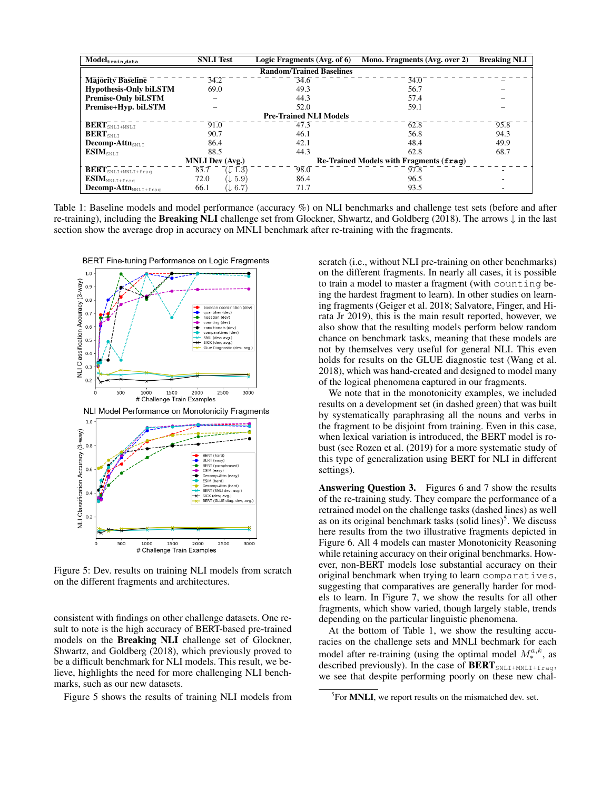| $\overline{\text{Model}_{\text{train_data}}}$<br><b>SNLI</b> Test |                                 | Logic Fragments (Avg. of 6) | Mono. Fragments (Avg. over 2) | <b>Breaking NLI</b> |  |
|-------------------------------------------------------------------|---------------------------------|-----------------------------|-------------------------------|---------------------|--|
|                                                                   | <b>Random/Trained Baselines</b> |                             |                               |                     |  |
| <b>Majority Baseline</b>                                          | 34.2                            | 34.6                        | 34.0                          |                     |  |
| <b>Hypothesis-Only biLSTM</b>                                     | 69.0                            | 49.3                        | 56.7                          |                     |  |
| <b>Premise-Only biLSTM</b>                                        | -                               | 44.3                        | 57.4                          |                     |  |
| Premise+Hyp. biLSTM                                               |                                 | 52.0                        | 59.1                          |                     |  |
| <b>Pre-Trained NLI Models</b>                                     |                                 |                             |                               |                     |  |
| $\mathbf{BERT}_{\texttt{SNLI+MNLI}}^{-1}$                         | 91.0                            | $-47.3$                     | 62.8                          | 95.8                |  |
| $\textbf{BERT}_{\texttt{SNLI}}$                                   | 90.7                            | 46.1                        | 56.8                          | 94.3                |  |
| <b>Decomp-Attn</b> <sub>SNLT</sub>                                | 86.4                            | 42.1                        | 48.4                          | 49.9                |  |
| $\mathbf{ESIM}_{\texttt{SNLI}}$                                   | 88.5                            | 44.3                        | 62.8                          | 68.7                |  |
| <b>MNLI Dev (Avg.)</b><br>Re-Trained Models with Fragments (fraq) |                                 |                             |                               |                     |  |
| $\overline{\text{BERT}}_{\text{SNLI+MNLI+frag}}^{-1}$             | 83.7<br>$\downarrow$ 1.3)       | $\overline{98.0}$           | 97.8                          |                     |  |
| $\textbf{ESIM}_\texttt{MNLI+frag}$                                | $(\downarrow 5.9)$<br>72.0      | 86.4                        | 96.5                          |                     |  |
| $Decomp\text{-}Attn_{MNLI+frag}$                                  | 66.1<br>$(\downarrow 6.7)$      | 71.7                        | 93.5                          |                     |  |

Table 1: Baseline models and model performance (accuracy %) on NLI benchmarks and challenge test sets (before and after re-training), including the **Breaking NLI** challenge set from Glockner, Shwartz, and Goldberg (2018). The arrows  $\downarrow$  in the last section show the average drop in accuracy on MNLI benchmark after re-training with the fragments.



Figure 5: Dev. results on training NLI models from scratch on the different fragments and architectures.

consistent with findings on other challenge datasets. One result to note is the high accuracy of BERT-based pre-trained models on the Breaking NLI challenge set of Glockner, Shwartz, and Goldberg (2018), which previously proved to be a difficult benchmark for NLI models. This result, we believe, highlights the need for more challenging NLI benchmarks, such as our new datasets.

Figure 5 shows the results of training NLI models from

scratch (i.e., without NLI pre-training on other benchmarks) on the different fragments. In nearly all cases, it is possible to train a model to master a fragment (with counting being the hardest fragment to learn). In other studies on learning fragments (Geiger et al. 2018; Salvatore, Finger, and Hirata Jr 2019), this is the main result reported, however, we also show that the resulting models perform below random chance on benchmark tasks, meaning that these models are not by themselves very useful for general NLI. This even holds for results on the GLUE diagnostic test (Wang et al. 2018), which was hand-created and designed to model many of the logical phenomena captured in our fragments.

We note that in the monotonicity examples, we included results on a development set (in dashed green) that was built by systematically paraphrasing all the nouns and verbs in the fragment to be disjoint from training. Even in this case, when lexical variation is introduced, the BERT model is robust (see Rozen et al. (2019) for a more systematic study of this type of generalization using BERT for NLI in different settings).

Answering Question 3. Figures 6 and 7 show the results of the re-training study. They compare the performance of a retrained model on the challenge tasks (dashed lines) as well as on its original benchmark tasks (solid lines)<sup>5</sup>. We discuss here results from the two illustrative fragments depicted in Figure 6. All 4 models can master Monotonicity Reasoning while retaining accuracy on their original benchmarks. However, non-BERT models lose substantial accuracy on their original benchmark when trying to learn comparatives, suggesting that comparatives are generally harder for models to learn. In Figure 7, we show the results for all other fragments, which show varied, though largely stable, trends depending on the particular linguistic phenomena.

At the bottom of Table 1, we show the resulting accuracies on the challenge sets and MNLI bechmark for each model after re-training (using the optimal model  $M_*^{a,k}$ , as described previously). In the case of  $\text{BERT}_{\text{SNLI+MNLI+frag}}$ , we see that despite performing poorly on these new chal-

<sup>&</sup>lt;sup>5</sup>For **MNLI**, we report results on the mismatched dev. set.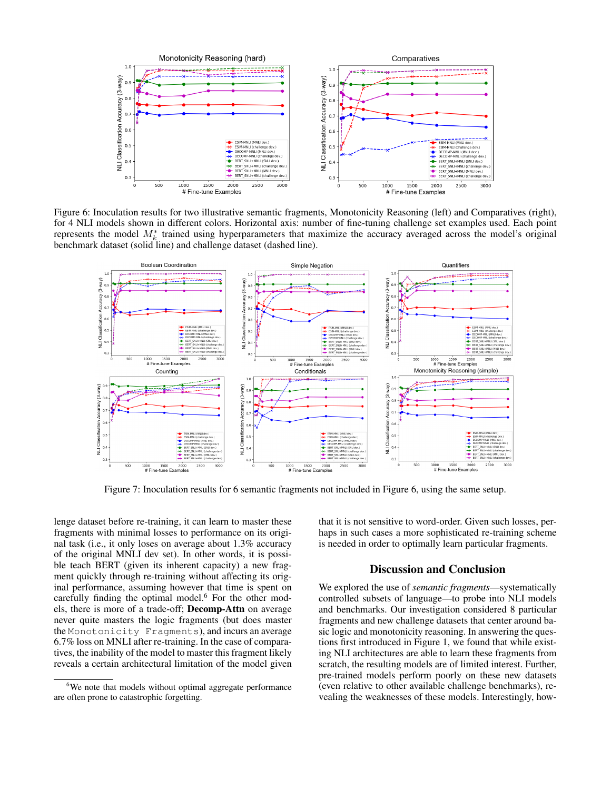

Figure 6: Inoculation results for two illustrative semantic fragments, Monotonicity Reasoning (left) and Comparatives (right), for 4 NLI models shown in different colors. Horizontal axis: number of fine-tuning challenge set examples used. Each point represents the model  $M_k^*$  trained using hyperparameters that maximize the accuracy averaged across the model's original benchmark dataset (solid line) and challenge dataset (dashed line).



Figure 7: Inoculation results for 6 semantic fragments not included in Figure 6, using the same setup.

lenge dataset before re-training, it can learn to master these fragments with minimal losses to performance on its original task (i.e., it only loses on average about 1.3% accuracy of the original MNLI dev set). In other words, it is possible teach BERT (given its inherent capacity) a new fragment quickly through re-training without affecting its original performance, assuming however that time is spent on carefully finding the optimal model.<sup>6</sup> For the other models, there is more of a trade-off; Decomp-Attn on average never quite masters the logic fragments (but does master the Monotonicity Fragments), and incurs an average 6.7% loss on MNLI after re-training. In the case of comparatives, the inability of the model to master this fragment likely reveals a certain architectural limitation of the model given that it is not sensitive to word-order. Given such losses, perhaps in such cases a more sophisticated re-training scheme is needed in order to optimally learn particular fragments.

# Discussion and Conclusion

We explored the use of *semantic fragments*—systematically controlled subsets of language—to probe into NLI models and benchmarks. Our investigation considered 8 particular fragments and new challenge datasets that center around basic logic and monotonicity reasoning. In answering the questions first introduced in Figure 1, we found that while existing NLI architectures are able to learn these fragments from scratch, the resulting models are of limited interest. Further, pre-trained models perform poorly on these new datasets (even relative to other available challenge benchmarks), revealing the weaknesses of these models. Interestingly, how-

<sup>&</sup>lt;sup>6</sup>We note that models without optimal aggregate performance are often prone to catastrophic forgetting.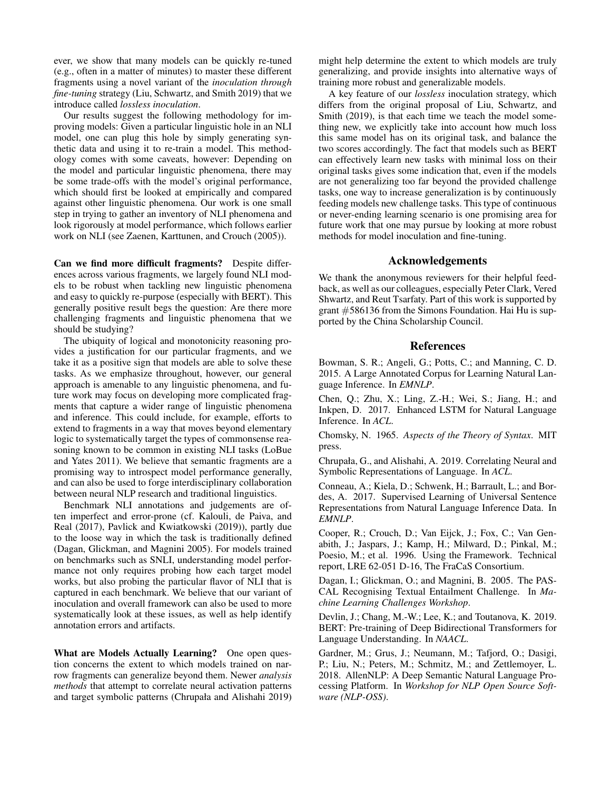ever, we show that many models can be quickly re-tuned (e.g., often in a matter of minutes) to master these different fragments using a novel variant of the *inoculation through fine-tuning* strategy (Liu, Schwartz, and Smith 2019) that we introduce called *lossless inoculation*.

Our results suggest the following methodology for improving models: Given a particular linguistic hole in an NLI model, one can plug this hole by simply generating synthetic data and using it to re-train a model. This methodology comes with some caveats, however: Depending on the model and particular linguistic phenomena, there may be some trade-offs with the model's original performance, which should first be looked at empirically and compared against other linguistic phenomena. Our work is one small step in trying to gather an inventory of NLI phenomena and look rigorously at model performance, which follows earlier work on NLI (see Zaenen, Karttunen, and Crouch (2005)).

Can we find more difficult fragments? Despite differences across various fragments, we largely found NLI models to be robust when tackling new linguistic phenomena and easy to quickly re-purpose (especially with BERT). This generally positive result begs the question: Are there more challenging fragments and linguistic phenomena that we should be studying?

The ubiquity of logical and monotonicity reasoning provides a justification for our particular fragments, and we take it as a positive sign that models are able to solve these tasks. As we emphasize throughout, however, our general approach is amenable to any linguistic phenomena, and future work may focus on developing more complicated fragments that capture a wider range of linguistic phenomena and inference. This could include, for example, efforts to extend to fragments in a way that moves beyond elementary logic to systematically target the types of commonsense reasoning known to be common in existing NLI tasks (LoBue and Yates 2011). We believe that semantic fragments are a promising way to introspect model performance generally, and can also be used to forge interdisciplinary collaboration between neural NLP research and traditional linguistics.

Benchmark NLI annotations and judgements are often imperfect and error-prone (cf. Kalouli, de Paiva, and Real (2017), Pavlick and Kwiatkowski (2019)), partly due to the loose way in which the task is traditionally defined (Dagan, Glickman, and Magnini 2005). For models trained on benchmarks such as SNLI, understanding model performance not only requires probing how each target model works, but also probing the particular flavor of NLI that is captured in each benchmark. We believe that our variant of inoculation and overall framework can also be used to more systematically look at these issues, as well as help identify annotation errors and artifacts.

What are Models Actually Learning? One open question concerns the extent to which models trained on narrow fragments can generalize beyond them. Newer *analysis methods* that attempt to correlate neural activation patterns and target symbolic patterns (Chrupała and Alishahi 2019)

might help determine the extent to which models are truly generalizing, and provide insights into alternative ways of training more robust and generalizable models.

A key feature of our *lossless* inoculation strategy, which differs from the original proposal of Liu, Schwartz, and Smith (2019), is that each time we teach the model something new, we explicitly take into account how much loss this same model has on its original task, and balance the two scores accordingly. The fact that models such as BERT can effectively learn new tasks with minimal loss on their original tasks gives some indication that, even if the models are not generalizing too far beyond the provided challenge tasks, one way to increase generalization is by continuously feeding models new challenge tasks. This type of continuous or never-ending learning scenario is one promising area for future work that one may pursue by looking at more robust methods for model inoculation and fine-tuning.

#### Acknowledgements

We thank the anonymous reviewers for their helpful feedback, as well as our colleagues, especially Peter Clark, Vered Shwartz, and Reut Tsarfaty. Part of this work is supported by grant #586136 from the Simons Foundation. Hai Hu is supported by the China Scholarship Council.

### References

Bowman, S. R.; Angeli, G.; Potts, C.; and Manning, C. D. 2015. A Large Annotated Corpus for Learning Natural Language Inference. In *EMNLP*.

Chen, Q.; Zhu, X.; Ling, Z.-H.; Wei, S.; Jiang, H.; and Inkpen, D. 2017. Enhanced LSTM for Natural Language Inference. In *ACL*.

Chomsky, N. 1965. *Aspects of the Theory of Syntax*. MIT press.

Chrupała, G., and Alishahi, A. 2019. Correlating Neural and Symbolic Representations of Language. In *ACL*.

Conneau, A.; Kiela, D.; Schwenk, H.; Barrault, L.; and Bordes, A. 2017. Supervised Learning of Universal Sentence Representations from Natural Language Inference Data. In *EMNLP*.

Cooper, R.; Crouch, D.; Van Eijck, J.; Fox, C.; Van Genabith, J.; Jaspars, J.; Kamp, H.; Milward, D.; Pinkal, M.; Poesio, M.; et al. 1996. Using the Framework. Technical report, LRE 62-051 D-16, The FraCaS Consortium.

Dagan, I.; Glickman, O.; and Magnini, B. 2005. The PAS-CAL Recognising Textual Entailment Challenge. In *Machine Learning Challenges Workshop*.

Devlin, J.; Chang, M.-W.; Lee, K.; and Toutanova, K. 2019. BERT: Pre-training of Deep Bidirectional Transformers for Language Understanding. In *NAACL*.

Gardner, M.; Grus, J.; Neumann, M.; Tafjord, O.; Dasigi, P.; Liu, N.; Peters, M.; Schmitz, M.; and Zettlemoyer, L. 2018. AllenNLP: A Deep Semantic Natural Language Processing Platform. In *Workshop for NLP Open Source Software (NLP-OSS)*.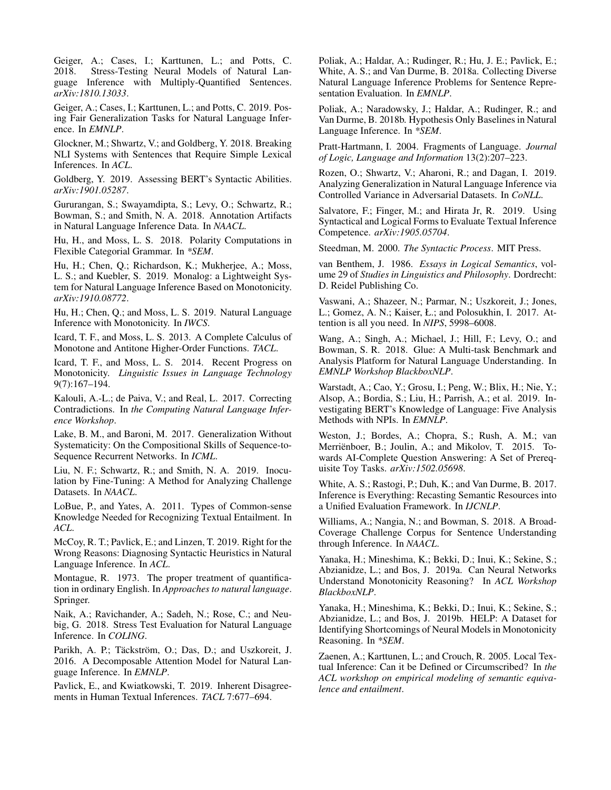Geiger, A.; Cases, I.; Karttunen, L.; and Potts, C. 2018. Stress-Testing Neural Models of Natural Language Inference with Multiply-Quantified Sentences. *arXiv:1810.13033*.

Geiger, A.; Cases, I.; Karttunen, L.; and Potts, C. 2019. Posing Fair Generalization Tasks for Natural Language Inference. In *EMNLP*.

Glockner, M.; Shwartz, V.; and Goldberg, Y. 2018. Breaking NLI Systems with Sentences that Require Simple Lexical Inferences. In *ACL*.

Goldberg, Y. 2019. Assessing BERT's Syntactic Abilities. *arXiv:1901.05287*.

Gururangan, S.; Swayamdipta, S.; Levy, O.; Schwartz, R.; Bowman, S.; and Smith, N. A. 2018. Annotation Artifacts in Natural Language Inference Data. In *NAACL*.

Hu, H., and Moss, L. S. 2018. Polarity Computations in Flexible Categorial Grammar. In *\*SEM*.

Hu, H.; Chen, Q.; Richardson, K.; Mukherjee, A.; Moss, L. S.; and Kuebler, S. 2019. Monalog: a Lightweight System for Natural Language Inference Based on Monotonicity. *arXiv:1910.08772*.

Hu, H.; Chen, Q.; and Moss, L. S. 2019. Natural Language Inference with Monotonicity. In *IWCS*.

Icard, T. F., and Moss, L. S. 2013. A Complete Calculus of Monotone and Antitone Higher-Order Functions. *TACL*.

Icard, T. F., and Moss, L. S. 2014. Recent Progress on Monotonicity. *Linguistic Issues in Language Technology* 9(7):167–194.

Kalouli, A.-L.; de Paiva, V.; and Real, L. 2017. Correcting Contradictions. In *the Computing Natural Language Inference Workshop*.

Lake, B. M., and Baroni, M. 2017. Generalization Without Systematicity: On the Compositional Skills of Sequence-to-Sequence Recurrent Networks. In *ICML*.

Liu, N. F.; Schwartz, R.; and Smith, N. A. 2019. Inoculation by Fine-Tuning: A Method for Analyzing Challenge Datasets. In *NAACL*.

LoBue, P., and Yates, A. 2011. Types of Common-sense Knowledge Needed for Recognizing Textual Entailment. In *ACL*.

McCoy, R. T.; Pavlick, E.; and Linzen, T. 2019. Right for the Wrong Reasons: Diagnosing Syntactic Heuristics in Natural Language Inference. In *ACL*.

Montague, R. 1973. The proper treatment of quantification in ordinary English. In *Approaches to natural language*. Springer.

Naik, A.; Ravichander, A.; Sadeh, N.; Rose, C.; and Neubig, G. 2018. Stress Test Evaluation for Natural Language Inference. In *COLING*.

Parikh, A. P.; Täckström, O.; Das, D.; and Uszkoreit, J. 2016. A Decomposable Attention Model for Natural Language Inference. In *EMNLP*.

Pavlick, E., and Kwiatkowski, T. 2019. Inherent Disagreements in Human Textual Inferences. *TACL* 7:677–694.

Poliak, A.; Haldar, A.; Rudinger, R.; Hu, J. E.; Pavlick, E.; White, A. S.; and Van Durme, B. 2018a. Collecting Diverse Natural Language Inference Problems for Sentence Representation Evaluation. In *EMNLP*.

Poliak, A.; Naradowsky, J.; Haldar, A.; Rudinger, R.; and Van Durme, B. 2018b. Hypothesis Only Baselines in Natural Language Inference. In *\*SEM*.

Pratt-Hartmann, I. 2004. Fragments of Language. *Journal of Logic, Language and Information* 13(2):207–223.

Rozen, O.; Shwartz, V.; Aharoni, R.; and Dagan, I. 2019. Analyzing Generalization in Natural Language Inference via Controlled Variance in Adversarial Datasets. In *CoNLL*.

Salvatore, F.; Finger, M.; and Hirata Jr, R. 2019. Using Syntactical and Logical Forms to Evaluate Textual Inference Competence. *arXiv:1905.05704*.

Steedman, M. 2000. *The Syntactic Process*. MIT Press.

van Benthem, J. 1986. *Essays in Logical Semantics*, volume 29 of *Studies in Linguistics and Philosophy*. Dordrecht: D. Reidel Publishing Co.

Vaswani, A.; Shazeer, N.; Parmar, N.; Uszkoreit, J.; Jones, L.; Gomez, A. N.; Kaiser, Ł.; and Polosukhin, I. 2017. Attention is all you need. In *NIPS*, 5998–6008.

Wang, A.; Singh, A.; Michael, J.; Hill, F.; Levy, O.; and Bowman, S. R. 2018. Glue: A Multi-task Benchmark and Analysis Platform for Natural Language Understanding. In *EMNLP Workshop BlackboxNLP*.

Warstadt, A.; Cao, Y.; Grosu, I.; Peng, W.; Blix, H.; Nie, Y.; Alsop, A.; Bordia, S.; Liu, H.; Parrish, A.; et al. 2019. Investigating BERT's Knowledge of Language: Five Analysis Methods with NPIs. In *EMNLP*.

Weston, J.; Bordes, A.; Chopra, S.; Rush, A. M.; van Merrienboer, B.; Joulin, A.; and Mikolov, T. 2015. Towards AI-Complete Question Answering: A Set of Prerequisite Toy Tasks. *arXiv:1502.05698*.

White, A. S.; Rastogi, P.; Duh, K.; and Van Durme, B. 2017. Inference is Everything: Recasting Semantic Resources into a Unified Evaluation Framework. In *IJCNLP*.

Williams, A.; Nangia, N.; and Bowman, S. 2018. A Broad-Coverage Challenge Corpus for Sentence Understanding through Inference. In *NAACL*.

Yanaka, H.; Mineshima, K.; Bekki, D.; Inui, K.; Sekine, S.; Abzianidze, L.; and Bos, J. 2019a. Can Neural Networks Understand Monotonicity Reasoning? In *ACL Workshop BlackboxNLP*.

Yanaka, H.; Mineshima, K.; Bekki, D.; Inui, K.; Sekine, S.; Abzianidze, L.; and Bos, J. 2019b. HELP: A Dataset for Identifying Shortcomings of Neural Models in Monotonicity Reasoning. In *\*SEM*.

Zaenen, A.; Karttunen, L.; and Crouch, R. 2005. Local Textual Inference: Can it be Defined or Circumscribed? In *the ACL workshop on empirical modeling of semantic equivalence and entailment*.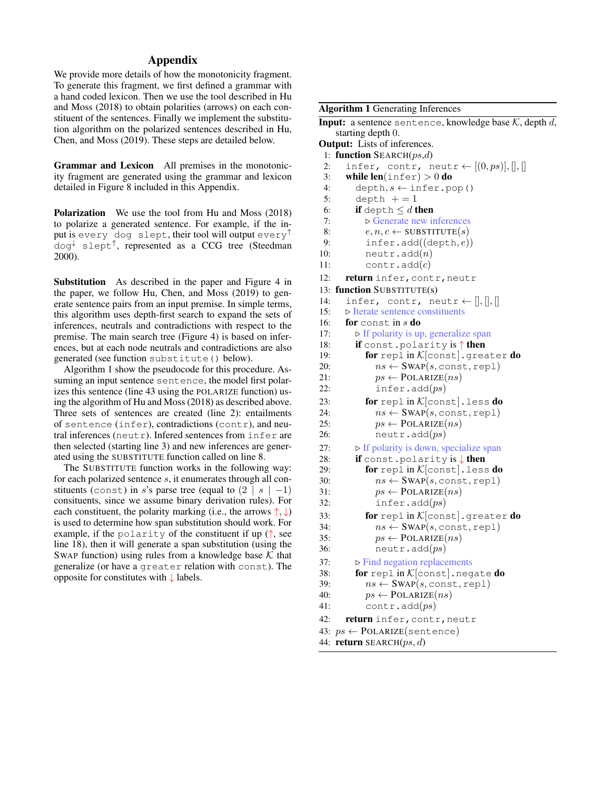# Appendix

We provide more details of how the monotonicity fragment. To generate this fragment, we first defined a grammar with a hand coded lexicon. Then we use the tool described in Hu and Moss (2018) to obtain polarities (arrows) on each constituent of the sentences. Finally we implement the substitution algorithm on the polarized sentences described in Hu, Chen, and Moss (2019). These steps are detailed below.

Grammar and Lexicon All premises in the monotonicity fragment are generated using the grammar and lexicon detailed in Figure 8 included in this Appendix.

Polarization We use the tool from Hu and Moss (2018) to polarize a generated sentence. For example, if the input is every dog slept, their tool will output every<sup>↑</sup> dog<sup>↓</sup> slept<sup>↑</sup> , represented as a CCG tree (Steedman 2000).

Substitution As described in the paper and Figure 4 in the paper, we follow Hu, Chen, and Moss (2019) to generate sentence pairs from an input premise. In simple terms, this algorithm uses depth-first search to expand the sets of inferences, neutrals and contradictions with respect to the premise. The main search tree (Figure 4) is based on inferences, but at each node neutrals and contradictions are also generated (see function substitute() below).

Algorithm 1 show the pseudocode for this procedure. Assuming an input sentence sentence, the model first polarizes this sentence (line 43 using the POLARIZE function) using the algorithm of Hu and Moss (2018) as described above. Three sets of sentences are created (line 2): entailments of sentence (infer), contradictions (contr), and neutral inferences (neutr). Infered sentences from  $infer$  are then selected (starting line 3) and new inferences are generated using the SUBSTITUTE function called on line 8.

The SUBSTITUTE function works in the following way: for each polarized sentence s, it enumerates through all constituents (const) in s's parse tree (equal to  $(2 \mid s \mid -1)$ ) consituents, since we assume binary derivation rules). For each constituent, the polarity marking (i.e., the arrows  $\uparrow, \downarrow$ ) is used to determine how span substitution should work. For example, if the polarity of the constituent if up  $($ <sup> $\dagger$ </sup>, see line 18), then it will generate a span substitution (using the SWAP function) using rules from a knowledge base  $K$  that generalize (or have a greater relation with const). The opposite for constitutes with ↓ labels.

### Algorithm 1 Generating Inferences

**Input:** a sentence sentence, knowledge base  $K$ , depth d, starting depth 0. Output: Lists of inferences.

1: function SEARCH $(ps,d)$ 2: infer, contr, neutr  $\leftarrow [(0,ps)],[],[]$ 3: while  $len(inter) > 0$  do 4: depth,  $s \leftarrow$  infer.pop() 5: depth  $+=1$ 6: if depth  $\leq d$  then 7:  $\triangleright$  Generate new inferences 8:  $e, n, c \leftarrow \text{SUBSTITUTE}(s)$ 9:  $\text{infer.add}((\text{depth}, e))$ 10: neutr.add $(n)$ 11: contr.add $(c)$ 12: return infer, contr, neutr 13: function SUBSTITUTE(s) 14: infer, contr, neutr  $\leftarrow$  [], [], [] 15:  $\triangleright$  Iterate sentence constituents<br>16: **for** const. in *s* **do** for const in  $s$  do 17:  $\triangleright$  If polarity is up, generalize span 18: if const.polarity is ↑ then 19: **for** repl in  $K$ [const]. greater **do** 20:  $ns \leftarrow \text{SWAP}(s, \text{const}, \text{rep1})$ 21:  $ps \leftarrow \text{POLARIZE}(ns)$ 22:  $\qquad \qquad \text{infer.add}(ps)$ 23: **for** repl in  $K$ [const]. less **do** 24:  $ns \leftarrow \text{SWAP}(s, \text{const}, \text{rep1})$ 25:  $ps \leftarrow \text{POLARIZE}(ns)$ 26: neutr.add $(ps)$ 27:  $\triangleright$  If polarity is down, specialize span 28: **if** const.polarity is ↓ then 29: **for** repl in  $K$ [const]. less **do** 30:  $ns \leftarrow \text{SWAP}(s, \text{const}, \text{rep1})$ 31:  $ps \leftarrow \text{POLARIZE}(ns)$ 32: infer.add $(ps)$ 33: **for** repl in  $K$ [const].greater **do**<br>34:  $ns \leftarrow \text{SWAP}(s, \text{const. real})$  $ns \leftarrow \text{SWAP}(s, \text{const}, \text{rep1})$ 35:  $ps \leftarrow \text{POLARIZE}(ns)$ 36: neutr.add $(ps)$ 37:  $\triangleright$  Find negation replacements 38: for repl in  $K$ [const].negate do 39:  $ns \leftarrow \text{SWAP}(s, \text{const}, \text{rep1})$ 40:  $ps \leftarrow \text{POLARIZE}(ns)$ 41: contr.add $(ps)$ 42: return infer, contr, neutr 43:  $ps \leftarrow \text{POLARIZE}(\text{sentence})$ 44: return SEARCH $(ps, d)$